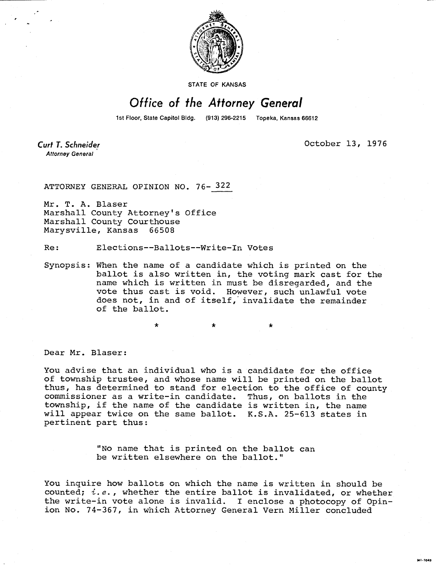

STATE OF KANSAS

## Office of the Attorney General

1st Floor, State Capitol Bidg. (913) 296-2215 Topeka, Kansas 66612

Curt T. Schneider **Attorney General** 

October 13, 1976

MI-1043

ATTORNEY GENERAL OPINION NO. 76- 322

Mr. T. A. Blaser Marshall County Attorney's Office Marshall County Courthouse Marysville, Kansas 66508

Re: Elections--Ballots--Write-In Votes

Synopsis: When the name of a candidate which is printed on the ballot is also written in, the voting mark cast for the name which is written in must be disregarded, and the vote thus cast is void. However, such unlawful vote does not, in and of itself, invalidate the remainder of the ballot.

\*

Dear Mr. Blaser:

You advise that an individual who is a candidate for the office of township trustee, and whose name will be printed on the ballot thus, has determined to stand for election to the office of county commissioner as a write-in candidate. Thus, on ballots in the township, if the name of the candidate is written in, the name will appear twice on the same ballot. K.S.A. 25-613 states in pertinent part thus:

> "No name that is printed on the ballot can be written elsewhere on the ballot."

You inquire how ballots on which the name is written in should be counted;  $i.e.,$  whether the entire ballot is invalidated, or whether the write-in vote alone is invalid. I enclose a photocopy of Opinion No. 74-367, in which Attorney General Vern Miller concluded